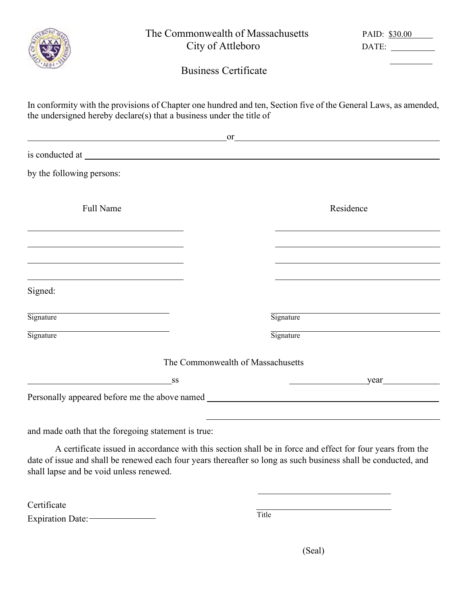|                                                                                                                       | The Commonwealth of Massachusetts<br>City of Attleboro |                                   | PAID: \$30.00<br>DATE:                                                                                                                                                                                                                    |  |  |
|-----------------------------------------------------------------------------------------------------------------------|--------------------------------------------------------|-----------------------------------|-------------------------------------------------------------------------------------------------------------------------------------------------------------------------------------------------------------------------------------------|--|--|
|                                                                                                                       |                                                        | <b>Business Certificate</b>       |                                                                                                                                                                                                                                           |  |  |
| the undersigned hereby declare(s) that a business under the title of                                                  |                                                        |                                   | In conformity with the provisions of Chapter one hundred and ten, Section five of the General Laws, as amended,                                                                                                                           |  |  |
|                                                                                                                       |                                                        |                                   | <u>or</u> <u>contract the contract of the contract of the contract of the contract of the contract of the contract of the contract of the contract of the contract of the contract of the contract of the contract of the contract of</u> |  |  |
|                                                                                                                       |                                                        |                                   |                                                                                                                                                                                                                                           |  |  |
| by the following persons:                                                                                             |                                                        |                                   |                                                                                                                                                                                                                                           |  |  |
| Full Name                                                                                                             |                                                        |                                   | Residence                                                                                                                                                                                                                                 |  |  |
| <u> 1989 - Johann Stein, marwolaethau a bhann an t-Amhair Aonaichte ann an t-Amhair Aonaichte ann an t-Amhair Aon</u> |                                                        |                                   | <u> 1989 - Johann Stein, marwolaethau a bhann an t-Amhair Aonaichte ann an t-Amhair Aonaichte ann an t-Amhair Aon</u>                                                                                                                     |  |  |
|                                                                                                                       |                                                        |                                   | the control of the control of the control of the control of the control of the control of                                                                                                                                                 |  |  |
| Signed:                                                                                                               |                                                        |                                   |                                                                                                                                                                                                                                           |  |  |
| the control of the control of the control of the control of the control of<br>Signature                               |                                                        | Signature                         |                                                                                                                                                                                                                                           |  |  |
| Signature                                                                                                             |                                                        | Signature                         |                                                                                                                                                                                                                                           |  |  |
|                                                                                                                       |                                                        | The Commonwealth of Massachusetts |                                                                                                                                                                                                                                           |  |  |
|                                                                                                                       | SS                                                     |                                   | $year$ year                                                                                                                                                                                                                               |  |  |
| Personally appeared before me the above named ___________________________________                                     |                                                        |                                   |                                                                                                                                                                                                                                           |  |  |
| and made oath that the foregoing statement is true:                                                                   |                                                        |                                   |                                                                                                                                                                                                                                           |  |  |
|                                                                                                                       |                                                        |                                   | A certificate issued in accordance with this section shall be in force and effect for four years from the                                                                                                                                 |  |  |

date of issue and shall be renewed each four years thereafter so long as such business shall be conducted, and shall lapse and be void unless renewed.

| Certificate       |       |
|-------------------|-------|
| Expiration Date:- | Title |

(Seal)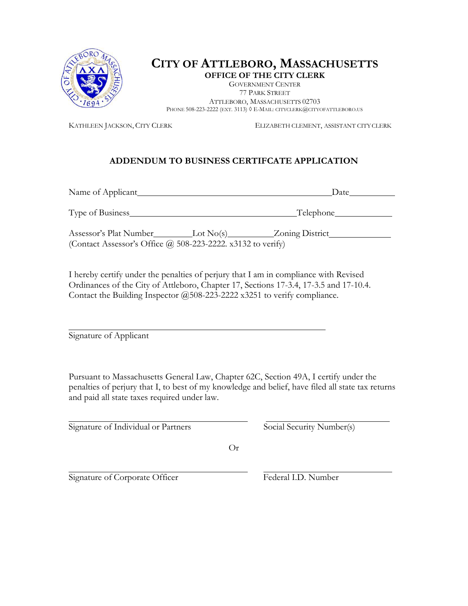

## **CITY OF ATTLEBORO, MASSACHUSETTS OFFICE OF THE CITY CLERK**

GOVERNMENT CENTER 77 PARK STREET ATTLEBORO, MASSACHUSETTS 02703 PHONE 508-223-2222 (EXT. 3113)  $\Diamond$  E-MAIL[: CITYCLERK@CITYOFATTLEBORO.US](mailto:CITYCLERK@CITYOFATTLEBORO.US)

KATHLEEN JACKSON, CITY CLERK ELIZABETH CLEMENT, ASSISTANT CITY CLERK

## **ADDENDUM TO BUSINESS CERTIFCATE APPLICATION**

Name of Applicant Date Type of Business Type of Business Telephone Telephone Assessor's Plat Number Lot No(s) Zoning District (Contact Assessor's Office  $\omega$  508-223-2222. x3132 to verify)

I hereby certify under the penalties of perjury that I am in compliance with Revised Ordinances of the City of Attleboro, Chapter 17, Sections 17-3.4, 17-3.5 and 17-10.4. Contact the Building Inspector @508-223-2222 x3251 to verify compliance.

Signature of Applicant

Pursuant to Massachusetts General Law, Chapter 62C, Section 49A, I certify under the penalties of perjury that I, to best of my knowledge and belief, have filed all state tax returns and paid all state taxes required under law.

Signature of Individual or Partners Social Security Number(s)

Or

Signature of Corporate Officer Federal I.D. Number